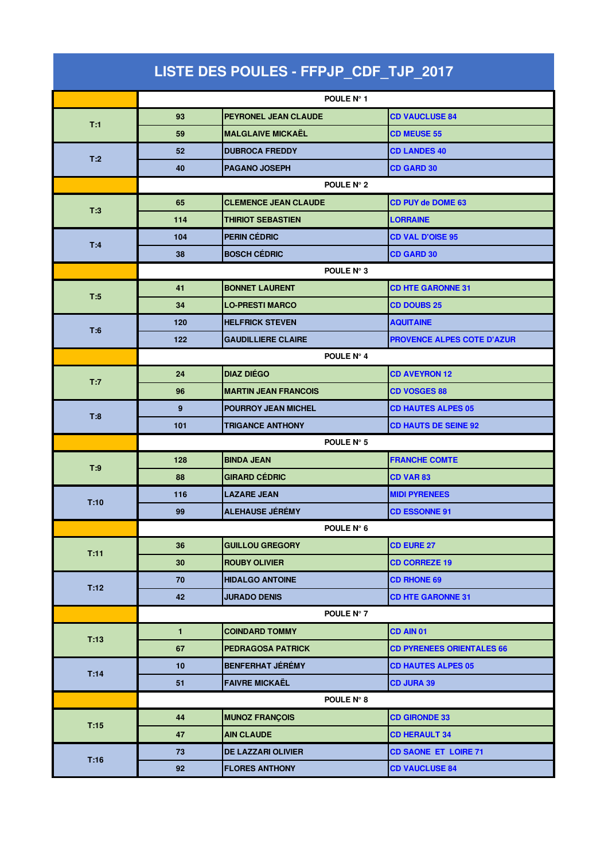| LISTE DES POULES - FFPJP_CDF_TJP_2017 |              |                             |                                   |  |
|---------------------------------------|--------------|-----------------------------|-----------------------------------|--|
|                                       |              | POULE N° 1                  |                                   |  |
|                                       | 93           | <b>PEYRONEL JEAN CLAUDE</b> | <b>CD VAUCLUSE 84</b>             |  |
| T:1                                   | 59           | <b>MALGLAIVE MICKAËL</b>    | <b>CD MEUSE 55</b>                |  |
|                                       | 52           | <b>DUBROCA FREDDY</b>       | <b>CD LANDES 40</b>               |  |
| T:2                                   | 40           | <b>PAGANO JOSEPH</b>        | <b>CD GARD 30</b>                 |  |
|                                       | POULE N° 2   |                             |                                   |  |
|                                       | 65           | <b>CLEMENCE JEAN CLAUDE</b> | <b>CD PUY de DOME 63</b>          |  |
| T:3                                   | 114          | <b>THIRIOT SEBASTIEN</b>    | <b>LORRAINE</b>                   |  |
|                                       | 104          | PERIN CÉDRIC                | <b>CD VAL D'OISE 95</b>           |  |
| T:4                                   | 38           | <b>BOSCH CÉDRIC</b>         | <b>CD GARD 30</b>                 |  |
|                                       | POULE N° 3   |                             |                                   |  |
|                                       | 41           | <b>BONNET LAURENT</b>       | <b>CD HTE GARONNE 31</b>          |  |
| T:5                                   | 34           | <b>LO-PRESTI MARCO</b>      | <b>CD DOUBS 25</b>                |  |
|                                       | 120          | <b>HELFRICK STEVEN</b>      | <b>AQUITAINE</b>                  |  |
| T:6                                   | 122          | <b>GAUDILLIERE CLAIRE</b>   | <b>PROVENCE ALPES COTE D'AZUR</b> |  |
|                                       |              | POULE N° 4                  |                                   |  |
| T:7                                   | 24           | <b>DIAZ DIÉGO</b>           | <b>CD AVEYRON 12</b>              |  |
|                                       | 96           | <b>MARTIN JEAN FRANCOIS</b> | <b>CD VOSGES 88</b>               |  |
| T:8                                   | 9            | <b>POURROY JEAN MICHEL</b>  | <b>CD HAUTES ALPES 05</b>         |  |
|                                       | 101          | <b>TRIGANCE ANTHONY</b>     | <b>CD HAUTS DE SEINE 92</b>       |  |
|                                       | POULE N° 5   |                             |                                   |  |
| T:9                                   | 128          | <b>BINDA JEAN</b>           | <b>FRANCHE COMTE</b>              |  |
|                                       | 88           | <b>GIRARD CEDRIC</b>        | <b>CD VAR 83</b>                  |  |
| T:10                                  | 116          | <b>LAZARE JEAN</b>          | <b>MIDI PYRENEES</b>              |  |
|                                       | 99           | <b>ALEHAUSE JÉRÉMY</b>      | <b>CD ESSONNE 91</b>              |  |
|                                       |              | POULE N° 6                  |                                   |  |
| T:11                                  | 36           | <b>GUILLOU GREGORY</b>      | <b>CD EURE 27</b>                 |  |
|                                       | 30           | <b>ROUBY OLIVIER</b>        | <b>CD CORREZE 19</b>              |  |
| T:12                                  | 70           | <b>HIDALGO ANTOINE</b>      | <b>CD RHONE 69</b>                |  |
|                                       | 42           | <b>JURADO DENIS</b>         | <b>CD HTE GARONNE 31</b>          |  |
|                                       |              | POULE N° 7                  |                                   |  |
| T:13                                  | $\mathbf{1}$ | <b>COINDARD TOMMY</b>       | CD AIN 01                         |  |
|                                       | 67           | PEDRAGOSA PATRICK           | <b>CD PYRENEES ORIENTALES 66</b>  |  |
| T:14                                  | 10           | <b>BENFERHAT JÉRÉMY</b>     | <b>CD HAUTES ALPES 05</b>         |  |
|                                       | 51           | <b>FAIVRE MICKAËL</b>       | <b>CD JURA 39</b>                 |  |
|                                       |              | POULE N° 8                  |                                   |  |
| T:15                                  | 44           | <b>MUNOZ FRANÇOIS</b>       | <b>CD GIRONDE 33</b>              |  |
|                                       | 47           | <b>AIN CLAUDE</b>           | <b>CD HERAULT 34</b>              |  |
| T:16                                  | 73           | <b>DE LAZZARI OLIVIER</b>   | <b>CD SAONE ET LOIRE 71</b>       |  |
|                                       | 92           | <b>FLORES ANTHONY</b>       | <b>CD VAUCLUSE 84</b>             |  |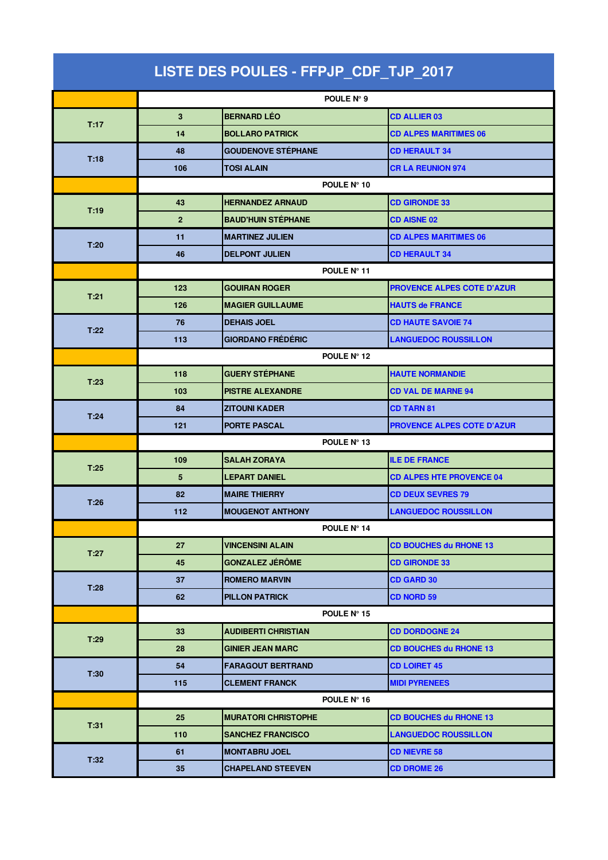| LISTE DES POULES - FFPJP_CDF_TJP_2017 |                |                            |                                   |  |  |
|---------------------------------------|----------------|----------------------------|-----------------------------------|--|--|
|                                       |                | POULE N° 9                 |                                   |  |  |
|                                       | 3              | <b>BERNARD LÉO</b>         | <b>CD ALLIER 03</b>               |  |  |
| T:17                                  | 14             | <b>BOLLARO PATRICK</b>     | <b>CD ALPES MARITIMES 06</b>      |  |  |
|                                       | 48             | <b>GOUDENOVE STÉPHANE</b>  | <b>CD HERAULT 34</b>              |  |  |
| T:18                                  | 106            | <b>TOSI ALAIN</b>          | <b>CR LA REUNION 974</b>          |  |  |
|                                       | POULE N° 10    |                            |                                   |  |  |
|                                       | 43             | <b>HERNANDEZ ARNAUD</b>    | <b>CD GIRONDE 33</b>              |  |  |
| T:19                                  | $\overline{2}$ | <b>BAUD'HUIN STÉPHANE</b>  | <b>CD AISNE 02</b>                |  |  |
|                                       | 11             | <b>MARTINEZ JULIEN</b>     | <b>CD ALPES MARITIMES 06</b>      |  |  |
| T:20                                  | 46             | <b>DELPONT JULIEN</b>      | <b>CD HERAULT 34</b>              |  |  |
|                                       | POULE N° 11    |                            |                                   |  |  |
| T:21                                  | 123            | <b>GOUIRAN ROGER</b>       | <b>PROVENCE ALPES COTE D'AZUR</b> |  |  |
|                                       | 126            | <b>MAGIER GUILLAUME</b>    | <b>HAUTS de FRANCE</b>            |  |  |
| T:22                                  | 76             | <b>DEHAIS JOEL</b>         | <b>CD HAUTE SAVOIE 74</b>         |  |  |
|                                       | 113            | <b>GIORDANO FRÉDÉRIC</b>   | <b>LANGUEDOC ROUSSILLON</b>       |  |  |
|                                       | POULE N° 12    |                            |                                   |  |  |
| T:23                                  | 118            | <b>GUERY STÉPHANE</b>      | <b>HAUTE NORMANDIE</b>            |  |  |
|                                       | 103            | <b>PISTRE ALEXANDRE</b>    | <b>CD VAL DE MARNE 94</b>         |  |  |
| T:24                                  | 84             | <b>ZITOUNI KADER</b>       | <b>CD TARN 81</b>                 |  |  |
|                                       | 121            | <b>PORTE PASCAL</b>        | <b>PROVENCE ALPES COTE D'AZUR</b> |  |  |
|                                       | POULE Nº 13    |                            |                                   |  |  |
| T:25                                  | 109            | <b>SALAH ZORAYA</b>        | <b>ILE DE FRANCE</b>              |  |  |
|                                       | 5              | <b>LEPART DANIEL</b>       | <b>CD ALPES HTE PROVENCE 04</b>   |  |  |
| T:26                                  | 82             | <b>MAIRE THIERRY</b>       | <b>CD DEUX SEVRES 79</b>          |  |  |
|                                       | 112            | <b>MOUGENOT ANTHONY</b>    | <b>LANGUEDOC ROUSSILLON</b>       |  |  |
|                                       |                | POULE Nº 14                |                                   |  |  |
| T:27                                  | 27             | <b>VINCENSINI ALAIN</b>    | <b>CD BOUCHES du RHONE 13</b>     |  |  |
|                                       | 45             | <b>GONZALEZ JÉRÔME</b>     | <b>CD GIRONDE 33</b>              |  |  |
|                                       | 37             | <b>ROMERO MARVIN</b>       | <b>CD GARD 30</b>                 |  |  |
| T:28                                  | 62             | <b>PILLON PATRICK</b>      | <b>CD NORD 59</b>                 |  |  |
|                                       |                | POULE Nº 15                |                                   |  |  |
| T:29                                  | 33             | <b>AUDIBERTI CHRISTIAN</b> | <b>CD DORDOGNE 24</b>             |  |  |
|                                       | 28             | <b>GINIER JEAN MARC</b>    | <b>CD BOUCHES du RHONE 13</b>     |  |  |
|                                       | 54             | <b>FARAGOUT BERTRAND</b>   | <b>CD LOIRET 45</b>               |  |  |
| T:30                                  | 115            | <b>CLEMENT FRANCK</b>      | <b>MIDI PYRENEES</b>              |  |  |
|                                       |                | POULE N° 16                |                                   |  |  |
| T:31                                  | 25             | <b>MURATORI CHRISTOPHE</b> | <b>CD BOUCHES du RHONE 13</b>     |  |  |
|                                       | 110            | <b>SANCHEZ FRANCISCO</b>   | <b>LANGUEDOC ROUSSILLON</b>       |  |  |
| T:32                                  | 61             | <b>MONTABRU JOEL</b>       | <b>CD NIEVRE 58</b>               |  |  |
|                                       | 35             | <b>CHAPELAND STEEVEN</b>   | <b>CD DROME 26</b>                |  |  |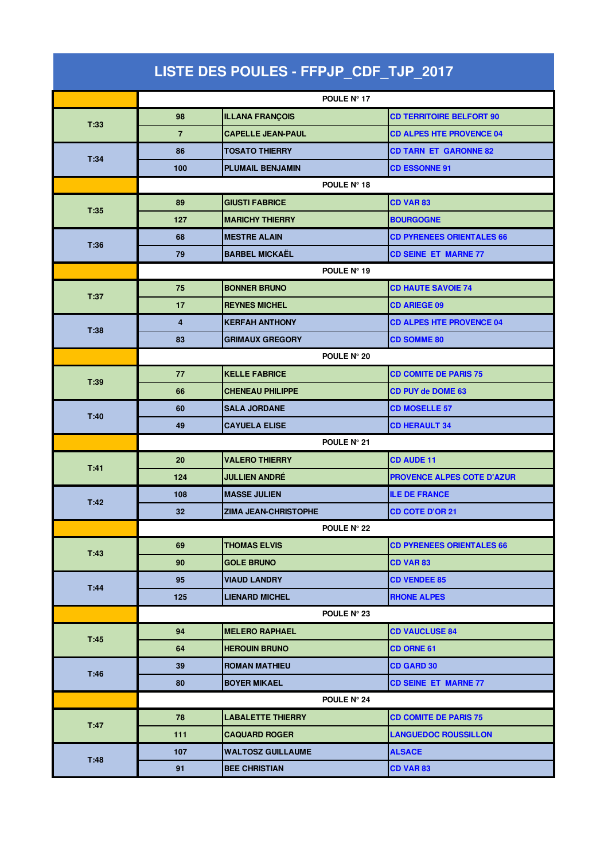| LISTE DES POULES - FFPJP_CDF_TJP_2017 |                |                          |                                   |  |  |
|---------------------------------------|----------------|--------------------------|-----------------------------------|--|--|
|                                       | POULE Nº 17    |                          |                                   |  |  |
|                                       | 98             | <b>ILLANA FRANÇOIS</b>   | <b>CD TERRITOIRE BELFORT 90</b>   |  |  |
| T:33                                  | $\overline{7}$ | <b>CAPELLE JEAN-PAUL</b> | <b>CD ALPES HTE PROVENCE 04</b>   |  |  |
|                                       | 86             | <b>TOSATO THIERRY</b>    | <b>CD TARN ET GARONNE 82</b>      |  |  |
| T:34                                  | 100            | <b>PLUMAIL BENJAMIN</b>  | <b>CD ESSONNE 91</b>              |  |  |
|                                       | POULE N° 18    |                          |                                   |  |  |
|                                       | 89             | <b>GIUSTI FABRICE</b>    | <b>CD VAR 83</b>                  |  |  |
| T:35                                  | 127            | <b>MARICHY THIERRY</b>   | <b>BOURGOGNE</b>                  |  |  |
|                                       | 68             | <b>MESTRE ALAIN</b>      | <b>CD PYRENEES ORIENTALES 66</b>  |  |  |
| T:36                                  | 79             | <b>BARBEL MICKAËL</b>    | <b>CD SEINE ET MARNE 77</b>       |  |  |
|                                       | POULE Nº 19    |                          |                                   |  |  |
| T:37                                  | 75             | <b>BONNER BRUNO</b>      | <b>CD HAUTE SAVOIE 74</b>         |  |  |
|                                       | 17             | <b>REYNES MICHEL</b>     | <b>CD ARIEGE 09</b>               |  |  |
| T:38                                  | $\overline{4}$ | <b>KERFAH ANTHONY</b>    | <b>CD ALPES HTE PROVENCE 04</b>   |  |  |
|                                       | 83             | <b>GRIMAUX GREGORY</b>   | <b>CD SOMME 80</b>                |  |  |
|                                       |                | POULE N° 20              |                                   |  |  |
| T:39                                  | 77             | <b>KELLE FABRICE</b>     | <b>CD COMITE DE PARIS 75</b>      |  |  |
|                                       | 66             | <b>CHENEAU PHILIPPE</b>  | CD PUY de DOME 63                 |  |  |
| T:40                                  | 60             | <b>SALA JORDANE</b>      | <b>CD MOSELLE 57</b>              |  |  |
|                                       | 49             | <b>CAYUELA ELISE</b>     | <b>CD HERAULT 34</b>              |  |  |
|                                       | POULE N° 21    |                          |                                   |  |  |
| T:41                                  | 20             | <b>VALERO THIERRY</b>    | <b>CD AUDE 11</b>                 |  |  |
|                                       | 124            | <b>JULLIEN ANDRÉ</b>     | <b>PROVENCE ALPES COTE D'AZUR</b> |  |  |
| T:42                                  | 108            | <b>MASSE JULIEN</b>      | <b>ILE DE FRANCE</b>              |  |  |
|                                       | 32             | ZIMA JEAN-CHRISTOPHE     | <b>CD COTE D'OR 21</b>            |  |  |
|                                       |                | POULE N° 22              |                                   |  |  |
| T:43                                  | 69             | <b>THOMAS ELVIS</b>      | <b>CD PYRENEES ORIENTALES 66</b>  |  |  |
|                                       | 90             | <b>GOLE BRUNO</b>        | <b>CD VAR 83</b>                  |  |  |
| T:44                                  | 95             | <b>VIAUD LANDRY</b>      | <b>CD VENDEE 85</b>               |  |  |
|                                       | 125            | <b>LIENARD MICHEL</b>    | <b>RHONE ALPES</b>                |  |  |
|                                       |                | POULE N° 23              |                                   |  |  |
| T:45                                  | 94             | <b>MELERO RAPHAEL</b>    | <b>CD VAUCLUSE 84</b>             |  |  |
|                                       | 64             | <b>HEROUIN BRUNO</b>     | <b>CD ORNE 61</b>                 |  |  |
| T:46                                  | 39             | <b>ROMAN MATHIEU</b>     | <b>CD GARD 30</b>                 |  |  |
|                                       | 80             | <b>BOYER MIKAEL</b>      | <b>CD SEINE ET MARNE 77</b>       |  |  |
|                                       |                | POULE N° 24              |                                   |  |  |
| T:47                                  | 78             | <b>LABALETTE THIERRY</b> | <b>CD COMITE DE PARIS 75</b>      |  |  |
|                                       | 111            | <b>CAQUARD ROGER</b>     | <b>LANGUEDOC ROUSSILLON</b>       |  |  |
| T:48                                  | 107            | <b>WALTOSZ GUILLAUME</b> | <b>ALSACE</b>                     |  |  |
|                                       | 91             | <b>BEE CHRISTIAN</b>     | CD VAR 83                         |  |  |